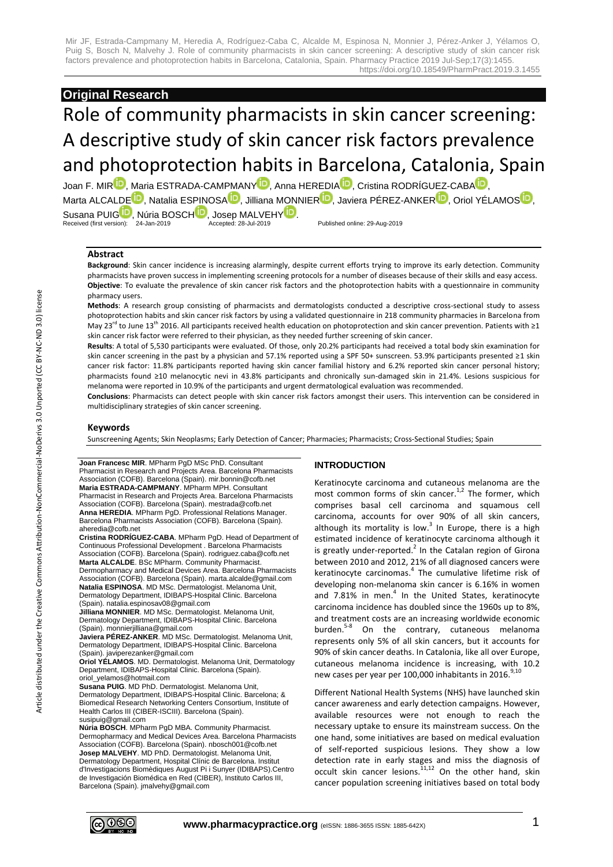# **Original Research**

# Role of community pharmacists in skin cancer screening: A descriptive study of skin cancer risk factors prevalence and photoprotection habits in Barcelona, Catalonia, Spain

Joan F. MI[R](http://orcid.org/0000-0001-8501-0969)<sup>ID</sup>, Maria ESTRADA-CAMPMAN[Y](http://orcid.org/0000-0002-0707-5916)<sup>ID</sup>, [A](http://orcid.org/0000-0002-5668-6166)nna HEREDIA<sup>ID</sup>, Cristina RODRÍGUEZ-CABA<sup>ID</sup>, Marta ALCALD[E](http://orcid.org/0000-0002-6971-1113)<sup>D</sup>, Natalia ESPINOS[A](http://orcid.org/0000-0002-8245-5169)<sup>D</sup>, Jilliana MONNIE[R](http://orcid.org/0000-0002-8747-5011)<sup>D</sup>[,](http://orcid.org/0000-0002-8058-3095) Javiera PÉREZ-ANKER<sup>D</sup>, Oriol YÉLAMOS<sup>D</sup>, Susana PUI[G](http://orcid.org/0000-0003-1337-9745) , Núria BOSC[H](http://orcid.org/0000-0002-9788-6279) , Josep MALVEH[Y](http://orcid.org/0000-0002-6998-914X) <sup>19</sup> .<br>Received (first version): 24-Jan-2019 Accepted: 28-Jul-2019 Published online: 29-Aug-2019

#### **Abstract**

**Background**: Skin cancer incidence is increasing alarmingly, despite current efforts trying to improve its early detection. Community pharmacists have proven success in implementing screening protocols for a number of diseases because of their skills and easy access. **Objective**: To evaluate the prevalence of skin cancer risk factors and the photoprotection habits with a questionnaire in community pharmacy users.

**Methods**: A research group consisting of pharmacists and dermatologists conducted a descriptive cross-sectional study to assess photoprotection habits and skin cancer risk factors by using a validated questionnaire in 218 community pharmacies in Barcelona from May 23<sup>rd</sup> to June 13<sup>th</sup> 2016. All participants received health education on photoprotection and skin cancer prevention. Patients with ≥1 skin cancer risk factor were referred to their physician, as they needed further screening of skin cancer.

**Results**: A total of 5,530 participants were evaluated. Of those, only 20.2% participants had received a total body skin examination for skin cancer screening in the past by a physician and 57.1% reported using a SPF 50+ sunscreen. 53.9% participants presented ≥1 skin cancer risk factor: 11.8% participants reported having skin cancer familial history and 6.2% reported skin cancer personal history; pharmacists found ≥10 melanocytic nevi in 43.8% participants and chronically sun-damaged skin in 21.4%. Lesions suspicious for melanoma were reported in 10.9% of the participants and urgent dermatological evaluation was recommended.

**Conclusions**: Pharmacists can detect people with skin cancer risk factors amongst their users. This intervention can be considered in multidisciplinary strategies of skin cancer screening.

#### **Keywords**

Sunscreening Agents; Skin Neoplasms; Early Detection of Cancer; Pharmacies; Pharmacists; Cross-Sectional Studies; Spain

**Joan Francesc MIR**. MPharm PgD MSc PhD. Consultant Pharmacist in Research and Projects Area. Barcelona Pharmacists Association (COFB). Barcelona (Spain). mir.bonnin@cofb.net **Maria ESTRADA-CAMPMANY**. MPharm MPH. Consultant Pharmacist in Research and Projects Area. Barcelona Pharmacists Association (COFB). Barcelona (Spain). mestrada@cofb.net **Anna HEREDIA**. MPharm PgD. Professional Relations Manager. Barcelona Pharmacists Association (COFB). Barcelona (Spain). aheredia@cofb.net

**Cristina RODRÍGUEZ-CABA**. MPharm PgD. Head of Department of Continuous Professional Development . Barcelona Pharmacists Association (COFB). Barcelona (Spain). rodriguez.caba@cofb.net **Marta ALCALDE**. BSc MPharm. Community Pharmacist. Dermopharmacy and Medical Devices Area. Barcelona Pharmacists Association (COFB). Barcelona (Spain). marta.alcalde@gmail.com

**Natalia ESPINOSA**. MD MSc. Dermatologist. Melanoma Unit, Dermatology Department, IDIBAPS-Hospital Clinic. Barcelona (Spain). natalia.espinosav08@gmail.com **Jilliana MONNIER**. MD MSc. Dermatologist. Melanoma Unit,

Dermatology Department, IDIBAPS-Hospital Clinic. Barcelona (Spain). monnierjilliana@gmail.com

**Javiera PÉREZ-ANKER**. MD MSc. Dermatologist. Melanoma Unit, Dermatology Department, IDIBAPS-Hospital Clinic. Barcelona (Spain). javiperezanker@gmail.com

**Oriol YÉLAMOS**. MD. Dermatologist. Melanoma Unit, Dermatology Department, IDIBAPS-Hospital Clinic. Barcelona (Spain). oriol\_yelamos@hotmail.com

**Susana PUIG**. MD PhD. Dermatologist. Melanoma Unit, Dermatology Department, IDIBAPS-Hospital Clinic. Barcelona; & Biomedical Research Networking Centers Consortium, Institute of Health Carlos III (CIBER-ISCIII). Barcelona (Spain). susipuig@gmail.com

**Núria BOSCH**. MPharm PgD MBA. Community Pharmacist. Dermopharmacy and Medical Devices Area. Barcelona Pharmacists Association (COFB). Barcelona (Spain). nbosch001@cofb.net **Josep MALVEHY**. MD PhD. Dermatologist. Melanoma Unit, Dermatology Department, Hospital Clínic de Barcelona. Institut d'Investigacions Biomèdiques August Pi i Sunyer (IDIBAPS).Centro de Investigación Biomédica en Red (CIBER), Instituto Carlos III, Barcelona (Spain). jmalvehy@gmail.com

#### **INTRODUCTION**

Keratinocyte carcinoma and cutaneous melanoma are the most common forms of skin cancer.<sup>1,2</sup> The former, which comprises basal cell carcinoma and squamous cell carcinoma, accounts for over 90% of all skin cancers, although its mortality is low. $3$  In Europe, there is a high estimated incidence of keratinocyte carcinoma although it is greatly under-reported.<sup>2</sup> In the Catalan region of Girona between 2010 and 2012, 21% of all diagnosed cancers were keratinocyte carcinomas. 4 The cumulative lifetime risk of developing non-melanoma skin cancer is 6.16% in women and 7.81% in men.<sup>4</sup> In the United States, keratinocyte carcinoma incidence has doubled since the 1960s up to 8%, and treatment costs are an increasing worldwide economic burden. 5-8 On the contrary, cutaneous melanoma represents only 5% of all skin cancers, but it accounts for 90% of skin cancer deaths. In Catalonia, like all over Europe, cutaneous melanoma incidence is increasing, with 10.2 new cases per year per 100,000 inhabitants in 2016.<sup>9,10</sup>

Different National Health Systems (NHS) have launched skin cancer awareness and early detection campaigns. However, available resources were not enough to reach the necessary uptake to ensure its mainstream success. On the one hand, some initiatives are based on medical evaluation of self-reported suspicious lesions. They show a low detection rate in early stages and miss the diagnosis of occult skin cancer lesions.<sup>11,12</sup> On the other hand, skin cancer population screening initiatives based on total body

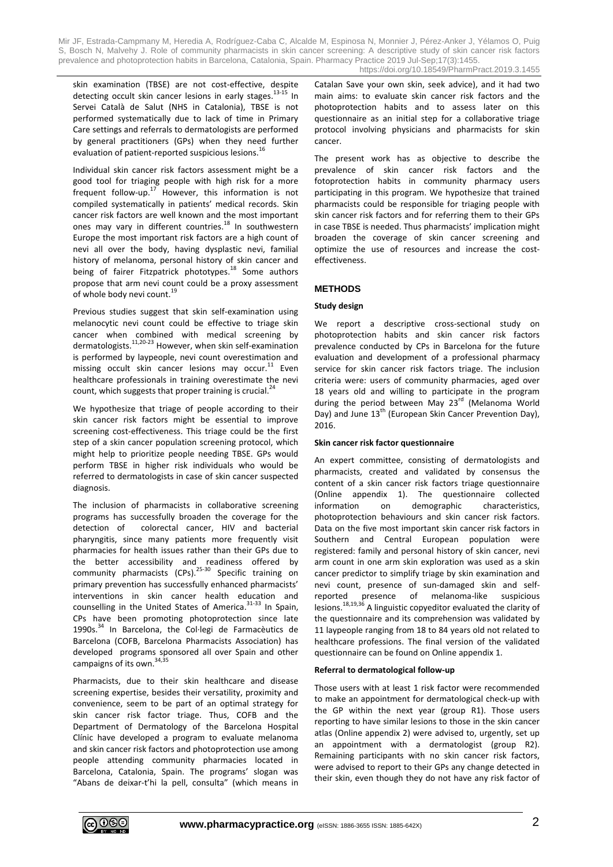skin examination (TBSE) are not cost-effective, despite detecting occult skin cancer lesions in early stages. 13-15 In Servei Català de Salut (NHS in Catalonia), TBSE is not performed systematically due to lack of time in Primary Care settings and referrals to dermatologists are performed by general practitioners (GPs) when they need further evaluation of patient-reported suspicious lesions.<sup>1</sup>

Individual skin cancer risk factors assessment might be a good tool for triaging people with high risk for a more frequent follow-up. $17$  However, this information is not compiled systematically in patients' medical records. Skin cancer risk factors are well known and the most important ones may vary in different countries.<sup>18</sup> In southwestern Europe the most important risk factors are a high count of nevi all over the body, having dysplastic nevi, familial history of melanoma, personal history of skin cancer and being of fairer Fitzpatrick phototypes.<sup>18</sup> Some authors propose that arm nevi count could be a proxy assessment of whole body nevi count.<sup>19</sup>

Previous studies suggest that skin self-examination using melanocytic nevi count could be effective to triage skin cancer when combined with medical screening by dermatologists.<sup>11,20-23</sup> However, when skin self-examination is performed by laypeople, nevi count overestimation and missing occult skin cancer lesions may occur. $^{11}$  Even healthcare professionals in training overestimate the nevi count, which suggests that proper training is crucial.<sup>24</sup>

We hypothesize that triage of people according to their skin cancer risk factors might be essential to improve screening cost-effectiveness. This triage could be the first step of a skin cancer population screening protocol, which might help to prioritize people needing TBSE. GPs would perform TBSE in higher risk individuals who would be referred to dermatologists in case of skin cancer suspected diagnosis.

The inclusion of pharmacists in collaborative screening programs has successfully broaden the coverage for the detection of colorectal cancer, HIV and bacterial pharyngitis, since many patients more frequently visit pharmacies for health issues rather than their GPs due to the better accessibility and readiness offered by community pharmacists (CPs).<sup>25-30</sup> Specific training on primary prevention has successfully enhanced pharmacists' interventions in skin cancer health education and counselling in the United States of America.<sup>31-33</sup> In Spain, CPs have been promoting photoprotection since late 1990s.<sup>34</sup> In Barcelona, the Col·legi de Farmacèutics de Barcelona (COFB, Barcelona Pharmacists Association) has developed programs sponsored all over Spain and other campaigns of its own.<sup>34,35</sup>

Pharmacists, due to their skin healthcare and disease screening expertise, besides their versatility, proximity and convenience, seem to be part of an optimal strategy for skin cancer risk factor triage. Thus, COFB and the Department of Dermatology of the Barcelona Hospital Clínic have developed a program to evaluate melanoma and skin cancer risk factors and photoprotection use among people attending community pharmacies located in Barcelona, Catalonia, Spain. The programs' slogan was "Abans de deixar-t'hi la pell, consulta" (which means in Catalan Save your own skin, seek advice), and it had two main aims: to evaluate skin cancer risk factors and the photoprotection habits and to assess later on this questionnaire as an initial step for a collaborative triage protocol involving physicians and pharmacists for skin cancer.

The present work has as objective to describe the prevalence of skin cancer risk factors and the fotoprotection habits in community pharmacy users participating in this program. We hypothesize that trained pharmacists could be responsible for triaging people with skin cancer risk factors and for referring them to their GPs in case TBSE is needed. Thus pharmacists' implication might broaden the coverage of skin cancer screening and optimize the use of resources and increase the costeffectiveness.

# **METHODS**

# **Study design**

We report a descriptive cross-sectional study on photoprotection habits and skin cancer risk factors prevalence conducted by CPs in Barcelona for the future evaluation and development of a professional pharmacy service for skin cancer risk factors triage. The inclusion criteria were: users of community pharmacies, aged over 18 years old and willing to participate in the program during the period between May 23<sup>rd</sup> (Melanoma World Day) and June 13<sup>th</sup> (European Skin Cancer Prevention Day), 2016.

# **Skin cancer risk factor questionnaire**

An expert committee, consisting of dermatologists and pharmacists, created and validated by consensus the content of a skin cancer risk factors triage questionnaire (Online appendix 1). The questionnaire collected information on demographic characteristics, photoprotection behaviours and skin cancer risk factors. Data on the five most important skin cancer risk factors in Southern and Central European population were registered: family and personal history of skin cancer, nevi arm count in one arm skin exploration was used as a skin cancer predictor to simplify triage by skin examination and nevi count, presence of sun-damaged skin and selfreported presence of melanoma-like suspicious lesions.<sup>18,19,36</sup> A linguistic copyeditor evaluated the clarity of the questionnaire and its comprehension was validated by 11 laypeople ranging from 18 to 84 years old not related to healthcare professions. The final version of the validated questionnaire can be found on Online appendix 1.

# **Referral to dermatological follow-up**

Those users with at least 1 risk factor were recommended to make an appointment for dermatological check-up with the GP within the next year (group R1). Those users reporting to have similar lesions to those in the skin cancer atlas (Online appendix 2) were advised to, urgently, set up an appointment with a dermatologist (group R2). Remaining participants with no skin cancer risk factors, were advised to report to their GPs any change detected in their skin, even though they do not have any risk factor of

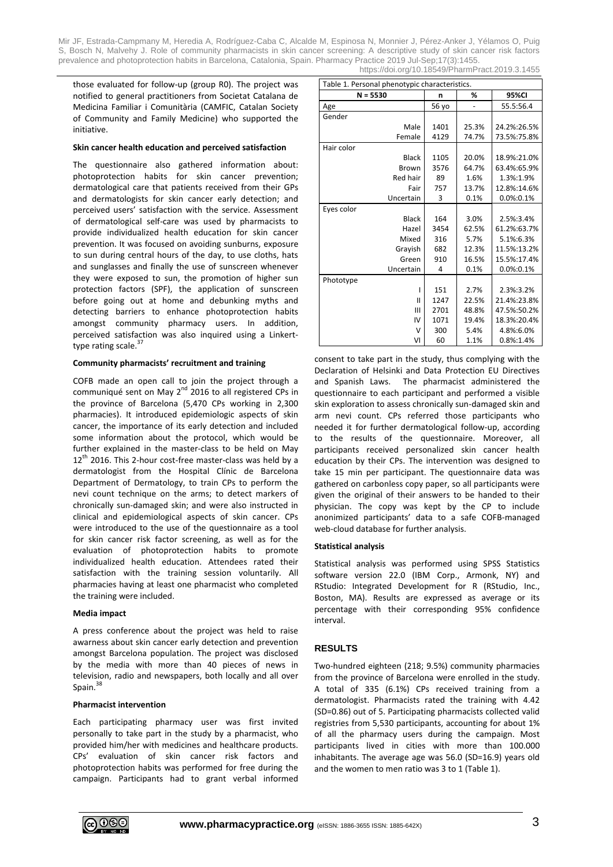those evaluated for follow-up (group R0). The project was notified to general practitioners from Societat Catalana de Medicina Familiar i Comunitària (CAMFIC, Catalan Society of Community and Family Medicine) who supported the initiative.

#### **Skin cancer health education and perceived satisfaction**

The questionnaire also gathered information about: photoprotection habits for skin cancer prevention; dermatological care that patients received from their GPs and dermatologists for skin cancer early detection; and perceived users' satisfaction with the service. Assessment of dermatological self-care was used by pharmacists to provide individualized health education for skin cancer prevention. It was focused on avoiding sunburns, exposure to sun during central hours of the day, to use cloths, hats and sunglasses and finally the use of sunscreen whenever they were exposed to sun, the promotion of higher sun protection factors (SPF), the application of sunscreen before going out at home and debunking myths and detecting barriers to enhance photoprotection habits amongst community pharmacy users. In addition, perceived satisfaction was also inquired using a Linkerttype rating scale.<sup>37</sup>

#### **Community pharmacists' recruitment and training**

COFB made an open call to join the project through a communiqué sent on May 2<sup>nd</sup> 2016 to all registered CPs in the province of Barcelona (5,470 CPs working in 2,300 pharmacies). It introduced epidemiologic aspects of skin cancer, the importance of its early detection and included some information about the protocol, which would be further explained in the master-class to be held on May  $12<sup>th</sup>$  2016. This 2-hour cost-free master-class was held by a dermatologist from the Hospital Clínic de Barcelona Department of Dermatology, to train CPs to perform the nevi count technique on the arms; to detect markers of chronically sun-damaged skin; and were also instructed in clinical and epidemiological aspects of skin cancer. CPs were introduced to the use of the questionnaire as a tool for skin cancer risk factor screening, as well as for the evaluation of photoprotection habits to promote individualized health education. Attendees rated their satisfaction with the training session voluntarily. All pharmacies having at least one pharmacist who completed the training were included.

# **Media impact**

A press conference about the project was held to raise awarness about skin cancer early detection and prevention amongst Barcelona population. The project was disclosed by the media with more than 40 pieces of news in television, radio and newspapers, both locally and all over Spain.<sup>38</sup>

#### **Pharmacist intervention**

Each participating pharmacy user was first invited personally to take part in the study by a pharmacist, who provided him/her with medicines and healthcare products. CPs' evaluation of skin cancer risk factors and photoprotection habits was performed for free during the campaign. Participants had to grant verbal informed

| Table 1. Personal phenotypic characteristics. |       |       |             |  |  |  |
|-----------------------------------------------|-------|-------|-------------|--|--|--|
| $N = 5530$                                    | n     | %     | 95%CI       |  |  |  |
| Age                                           | 56 yo |       | 55.5:56.4   |  |  |  |
| Gender                                        |       |       |             |  |  |  |
| Male                                          | 1401  | 25.3% | 24.2%:26.5% |  |  |  |
| Female                                        | 4129  | 74.7% | 73.5%:75.8% |  |  |  |
| Hair color                                    |       |       |             |  |  |  |
| <b>Black</b>                                  | 1105  | 20.0% | 18.9%:21.0% |  |  |  |
| Brown                                         | 3576  | 64.7% | 63.4%:65.9% |  |  |  |
| Red hair                                      | 89    | 1.6%  | 1.3%:1.9%   |  |  |  |
| Fair                                          | 757   | 13.7% | 12.8%:14.6% |  |  |  |
| Uncertain                                     | 3     | 0.1%  | 0.0%:0.1%   |  |  |  |
| Eyes color                                    |       |       |             |  |  |  |
| <b>Black</b>                                  | 164   | 3.0%  | 2.5%:3.4%   |  |  |  |
| Hazel                                         | 3454  | 62.5% | 61.2%:63.7% |  |  |  |
| Mixed                                         | 316   | 5.7%  | 5.1%:6.3%   |  |  |  |
| Grayish                                       | 682   | 12.3% | 11.5%:13.2% |  |  |  |
| Green                                         | 910   | 16.5% | 15.5%:17.4% |  |  |  |
| Uncertain                                     | 4     | 0.1%  | 0.0%:0.1%   |  |  |  |
| Phototype                                     |       |       |             |  |  |  |
| ı                                             | 151   | 2.7%  | 2.3%:3.2%   |  |  |  |
| $\mathbf{I}$                                  | 1247  | 22.5% | 21.4%:23.8% |  |  |  |
| III                                           | 2701  | 48.8% | 47.5%:50.2% |  |  |  |
| IV                                            | 1071  | 19.4% | 18.3%:20.4% |  |  |  |
| v                                             | 300   | 5.4%  | 4.8%:6.0%   |  |  |  |
| VI                                            | 60    | 1.1%  | 0.8%:1.4%   |  |  |  |

consent to take part in the study, thus complying with the Declaration of Helsinki and Data Protection EU Directives and Spanish Laws. The pharmacist administered the questionnaire to each participant and performed a visible skin exploration to assess chronically sun-damaged skin and arm nevi count. CPs referred those participants who needed it for further dermatological follow-up, according to the results of the questionnaire. Moreover, all participants received personalized skin cancer health education by their CPs. The intervention was designed to take 15 min per participant. The questionnaire data was gathered on carbonless copy paper, so all participants were given the original of their answers to be handed to their physician. The copy was kept by the CP to include anonimized participants' data to a safe COFB-managed web-cloud database for further analysis.

#### **Statistical analysis**

Statistical analysis was performed using SPSS Statistics software version 22.0 (IBM Corp., Armonk, NY) and RStudio: Integrated Development for R (RStudio, Inc., Boston, MA). Results are expressed as average or its percentage with their corresponding 95% confidence interval.

# **RESULTS**

Two-hundred eighteen (218; 9.5%) community pharmacies from the province of Barcelona were enrolled in the study. A total of 335 (6.1%) CPs received training from a dermatologist. Pharmacists rated the training with 4.42 (SD=0.86) out of 5. Participating pharmacists collected valid registries from 5,530 participants, accounting for about 1% of all the pharmacy users during the campaign. Most participants lived in cities with more than 100.000 inhabitants. The average age was 56.0 (SD=16.9) years old and the women to men ratio was 3 to 1 (Table 1).

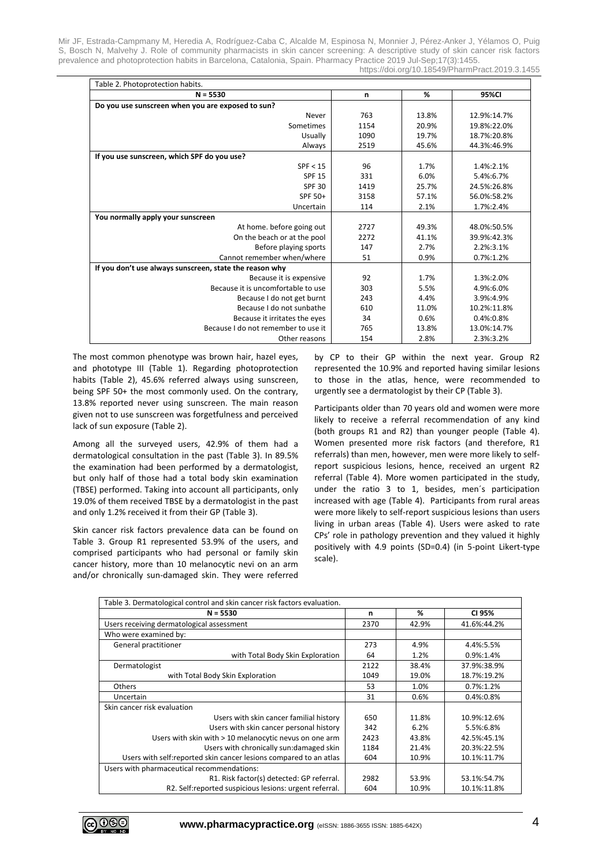| Table 2. Photoprotection habits.                        |      |                   |               |  |  |  |
|---------------------------------------------------------|------|-------------------|---------------|--|--|--|
| $N = 5530$                                              | n    | %                 | 95%CI         |  |  |  |
| Do you use sunscreen when you are exposed to sun?       |      |                   |               |  |  |  |
| Never                                                   | 763  | 13.8%             | 12.9%:14.7%   |  |  |  |
| Sometimes                                               | 1154 | 20.9%             | 19.8%:22.0%   |  |  |  |
| Usually                                                 | 1090 | 19.7%             | 18.7%:20.8%   |  |  |  |
| Always                                                  | 2519 | 45.6%             | 44.3%:46.9%   |  |  |  |
| If you use sunscreen, which SPF do you use?             |      |                   |               |  |  |  |
| SPF < 15                                                | 96   | 1.7%              | 1.4%:2.1%     |  |  |  |
| <b>SPF 15</b>                                           | 331  | 6.0%              | 5.4%:6.7%     |  |  |  |
| <b>SPF 30</b>                                           | 1419 | 25.7%             | 24.5%:26.8%   |  |  |  |
| SPF 50+                                                 | 3158 | 57.1%             | 56.0%:58.2%   |  |  |  |
| Uncertain                                               | 114  | 2.1%              | 1.7%:2.4%     |  |  |  |
| You normally apply your sunscreen                       |      |                   |               |  |  |  |
| At home. before going out                               | 2727 | 49.3%             | 48.0%:50.5%   |  |  |  |
| On the beach or at the pool                             | 2272 | 41.1%             | 39.9%:42.3%   |  |  |  |
| Before playing sports                                   | 147  | 2.2%:3.1%<br>2.7% |               |  |  |  |
| Cannot remember when/where                              | 51   | 0.9%              | $0.7\%$ :1.2% |  |  |  |
| If you don't use always sunscreen, state the reason why |      |                   |               |  |  |  |
| Because it is expensive                                 | 92   | 1.7%              | 1.3%:2.0%     |  |  |  |
| Because it is uncomfortable to use                      | 303  | 5.5%              | 4.9%:6.0%     |  |  |  |
| Because I do not get burnt                              | 243  | 4.4%              | 3.9%:4.9%     |  |  |  |
| Because I do not sunbathe                               | 610  | 11.0%             | 10.2%:11.8%   |  |  |  |
| Because it irritates the eyes                           | 34   | 0.6%              | 0.4%:0.8%     |  |  |  |
| Because I do not remember to use it                     | 765  | 13.8%             | 13.0%:14.7%   |  |  |  |
| Other reasons                                           | 154  | 2.8%              | 2.3%:3.2%     |  |  |  |

The most common phenotype was brown hair, hazel eyes, and phototype III (Table 1). Regarding photoprotection habits (Table 2), 45.6% referred always using sunscreen, being SPF 50+ the most commonly used. On the contrary, 13.8% reported never using sunscreen. The main reason given not to use sunscreen was forgetfulness and perceived lack of sun exposure (Table 2).

Among all the surveyed users, 42.9% of them had a dermatological consultation in the past (Table 3). In 89.5% the examination had been performed by a dermatologist, but only half of those had a total body skin examination (TBSE) performed. Taking into account all participants, only 19.0% of them received TBSE by a dermatologist in the past and only 1.2% received it from their GP (Table 3).

Skin cancer risk factors prevalence data can be found on Table 3. Group R1 represented 53.9% of the users, and comprised participants who had personal or family skin cancer history, more than 10 melanocytic nevi on an arm and/or chronically sun-damaged skin. They were referred by CP to their GP within the next year. Group R2 represented the 10.9% and reported having similar lesions to those in the atlas, hence, were recommended to urgently see a dermatologist by their CP (Table 3).

Participants older than 70 years old and women were more likely to receive a referral recommendation of any kind (both groups R1 and R2) than younger people (Table 4). Women presented more risk factors (and therefore, R1 referrals) than men, however, men were more likely to selfreport suspicious lesions, hence, received an urgent R2 referral (Table 4). More women participated in the study, under the ratio 3 to 1, besides, men´s participation increased with age (Table 4). Participants from rural areas were more likely to self-report suspicious lesions than users living in urban areas (Table 4). Users were asked to rate CPs' role in pathology prevention and they valued it highly positively with 4.9 points (SD=0.4) (in 5-point Likert-type scale).

| Table 3. Dermatological control and skin cancer risk factors evaluation. |      |                      |             |  |  |  |
|--------------------------------------------------------------------------|------|----------------------|-------------|--|--|--|
| $N = 5530$                                                               | n    | %                    | CI 95%      |  |  |  |
| Users receiving dermatological assessment                                | 2370 | 42.9%                | 41.6%:44.2% |  |  |  |
| Who were examined by:                                                    |      |                      |             |  |  |  |
| General practitioner                                                     | 273  | 4.9%                 | 4.4%:5.5%   |  |  |  |
| with Total Body Skin Exploration                                         | 64   | 1.2%                 | 0.9%:1.4%   |  |  |  |
| Dermatologist                                                            | 2122 | 38.4%                | 37.9%:38.9% |  |  |  |
| with Total Body Skin Exploration                                         | 1049 | 19.0%<br>18.7%:19.2% |             |  |  |  |
| <b>Others</b>                                                            | 53   | 1.0%                 | 0.7%:1.2%   |  |  |  |
| Uncertain                                                                | 31   | 0.6%                 | 0.4%:0.8%   |  |  |  |
| Skin cancer risk evaluation                                              |      |                      |             |  |  |  |
| Users with skin cancer familial history                                  | 650  | 11.8%                | 10.9%:12.6% |  |  |  |
| Users with skin cancer personal history                                  | 342  | 6.2%                 | 5.5%:6.8%   |  |  |  |
| Users with skin with > 10 melanocytic nevus on one arm                   | 2423 | 43.8%                | 42.5%:45.1% |  |  |  |
| Users with chronically sun: damaged skin                                 | 1184 | 21.4%                | 20.3%:22.5% |  |  |  |
| Users with self: reported skin cancer lesions compared to an atlas       | 604  | 10.9%                | 10.1%:11.7% |  |  |  |
| Users with pharmaceutical recommendations:                               |      |                      |             |  |  |  |
| R1. Risk factor(s) detected: GP referral.                                | 2982 | 53.9%                | 53.1%:54.7% |  |  |  |
| R2. Self: reported suspicious lesions: urgent referral.                  | 604  | 10.9%                | 10.1%:11.8% |  |  |  |

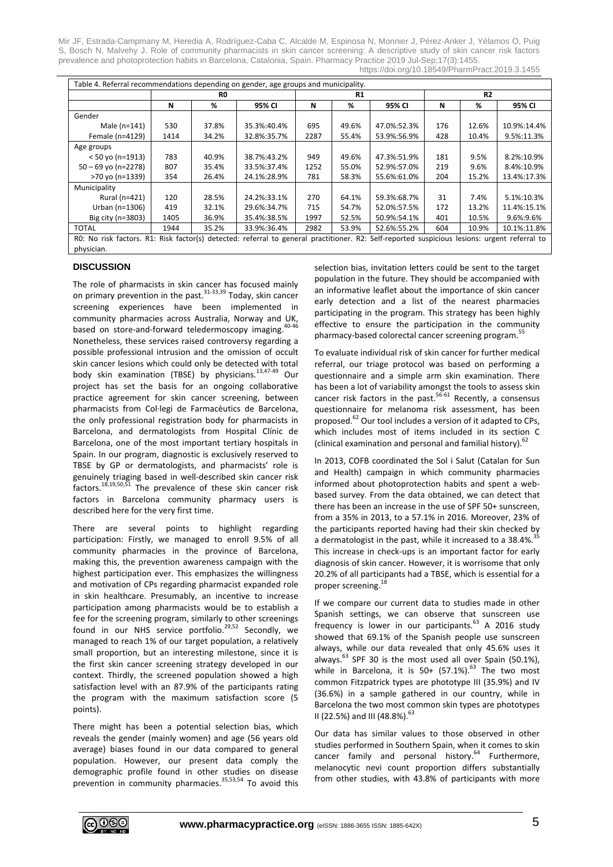| Table 4. Referral recommendations depending on gender, age groups and municipality.                                                          |      |       |             |      |       |             |                |       |             |
|----------------------------------------------------------------------------------------------------------------------------------------------|------|-------|-------------|------|-------|-------------|----------------|-------|-------------|
|                                                                                                                                              | R0   |       |             | R1   |       |             | R <sub>2</sub> |       |             |
|                                                                                                                                              | N    | %     | 95% CI      | N    | %     | 95% CI      | N              | %     | 95% CI      |
| Gender                                                                                                                                       |      |       |             |      |       |             |                |       |             |
| Male (n=141)                                                                                                                                 | 530  | 37.8% | 35.3%:40.4% | 695  | 49.6% | 47.0%:52.3% | 176            | 12.6% | 10.9%:14.4% |
| Female (n=4129)                                                                                                                              | 1414 | 34.2% | 32.8%:35.7% | 2287 | 55.4% | 53.9%:56.9% | 428            | 10.4% | 9.5%:11.3%  |
| Age groups                                                                                                                                   |      |       |             |      |       |             |                |       |             |
| $< 50$ yo (n=1913)                                                                                                                           | 783  | 40.9% | 38.7%:43.2% | 949  | 49.6% | 47.3%:51.9% | 181            | 9.5%  | 8.2%:10.9%  |
| $50 - 69$ yo (n=2278)                                                                                                                        | 807  | 35.4% | 33.5%:37.4% | 1252 | 55.0% | 52.9%:57.0% | 219            | 9.6%  | 8.4%:10.9%  |
| >70 yo (n=1339)                                                                                                                              | 354  | 26.4% | 24.1%:28.9% | 781  | 58.3% | 55.6%:61.0% | 204            | 15.2% | 13.4%:17.3% |
| Municipality                                                                                                                                 |      |       |             |      |       |             |                |       |             |
| Rural (n=421)                                                                                                                                | 120  | 28.5% | 24.2%:33.1% | 270  | 64.1% | 59.3%:68.7% | 31             | 7.4%  | 5.1%:10.3%  |
| Urban (n=1306)                                                                                                                               | 419  | 32.1% | 29.6%:34.7% | 715  | 54.7% | 52.0%:57.5% | 172            | 13.2% | 11.4%:15.1% |
| Big city (n=3803)                                                                                                                            | 1405 | 36.9% | 35.4%:38.5% | 1997 | 52.5% | 50.9%:54.1% | 401            | 10.5% | 9.6%:9.6%   |
| <b>TOTAL</b>                                                                                                                                 | 1944 | 35.2% | 33.9%:36.4% | 2982 | 53.9% | 52.6%:55.2% | 604            | 10.9% | 10.1%:11.8% |
| RO: No risk factors. R1: Risk factor(s) detected: referral to general practitioner. R2: Self-reported suspicious lesions: urgent referral to |      |       |             |      |       |             |                |       |             |
| physician.                                                                                                                                   |      |       |             |      |       |             |                |       |             |

# **DISCUSSION**

The role of pharmacists in skin cancer has focused mainly on primary prevention in the past.<sup>31-33,39</sup> Today, skin cancer screening experiences have been implemented in community pharmacies across Australia, Norway and UK, based on store-and-forward teledermoscopy imaging.<sup>40-46</sup> Nonetheless, these services raised controversy regarding a possible professional intrusion and the omission of occult skin cancer lesions which could only be detected with total body skin examination (TBSE) by physicians.<sup>13,47-49</sup> Our project has set the basis for an ongoing collaborative practice agreement for skin cancer screening, between pharmacists from Col·legi de Farmacèutics de Barcelona, the only professional registration body for pharmacists in Barcelona, and dermatologists from Hospital Clínic de Barcelona, one of the most important tertiary hospitals in Spain. In our program, diagnostic is exclusively reserved to TBSE by GP or dermatologists, and pharmacists' role is genuinely triaging based in well-described skin cancer risk factors.<sup>18,19,50,51</sup> The prevalence of these skin cancer risk factors in Barcelona community pharmacy users is described here for the very first time.

There are several points to highlight regarding participation: Firstly, we managed to enroll 9.5% of all community pharmacies in the province of Barcelona, making this, the prevention awareness campaign with the highest participation ever. This emphasizes the willingness and motivation of CPs regarding pharmacist expanded role in skin healthcare. Presumably, an incentive to increase participation among pharmacists would be to establish a fee for the screening program, similarly to other screenings found in our NHS service portfolio.<sup>29,52</sup> Secondly, we managed to reach 1% of our target population, a relatively small proportion, but an interesting milestone, since it is the first skin cancer screening strategy developed in our context. Thirdly, the screened population showed a high satisfaction level with an 87.9% of the participants rating the program with the maximum satisfaction score (5 points).

There might has been a potential selection bias, which reveals the gender (mainly women) and age (56 years old average) biases found in our data compared to general population. However, our present data comply the demographic profile found in other studies on disease prevention in community pharmacies.<sup>35,53,54</sup> To avoid this selection bias, invitation letters could be sent to the target population in the future. They should be accompanied with an informative leaflet about the importance of skin cancer early detection and a list of the nearest pharmacies participating in the program. This strategy has been highly effective to ensure the participation in the community pharmacy-based colorectal cancer screening program.<sup>55</sup>

To evaluate individual risk of skin cancer for further medical referral, our triage protocol was based on performing a questionnaire and a simple arm skin examination. There has been a lot of variability amongst the tools to assess skin cancer risk factors in the past.<sup>56-61</sup> Recently, a consensus questionnaire for melanoma risk assessment, has been proposed.<sup>62</sup> Our tool includes a version of it adapted to CPs, which includes most of items included in its section C (clinical examination and personal and familial history). 62

In 2013, COFB coordinated the Sol i Salut (Catalan for Sun and Health) campaign in which community pharmacies informed about photoprotection habits and spent a webbased survey. From the data obtained, we can detect that there has been an increase in the use of SPF 50+ sunscreen, from a 35% in 2013, to a 57.1% in 2016. Moreover, 23% of the participants reported having had their skin checked by a dermatologist in the past, while it increased to a 38.4%.<sup>35</sup> This increase in check-ups is an important factor for early diagnosis of skin cancer. However, it is worrisome that only 20.2% of all participants had a TBSE, which is essential for a proper screening. 18

If we compare our current data to studies made in other Spanish settings, we can observe that sunscreen use frequency is lower in our participants. $^{63}$  A 2016 study showed that 69.1% of the Spanish people use sunscreen always, while our data revealed that only 45.6% uses it always.<sup>63</sup> SPF 30 is the most used all over Spain (50.1%), while in Barcelona, it is  $50+ (57.1\%)$ .<sup>63</sup> The two most common Fitzpatrick types are phototype III (35.9%) and IV (36.6%) in a sample gathered in our country, while in Barcelona the two most common skin types are phototypes II (22.5%) and III (48.8%).<sup>63</sup>

Our data has similar values to those observed in other studies performed in Southern Spain, when it comes to skin cancer family and personal history.<sup>64</sup> Furthermore, melanocytic nevi count proportion differs substantially from other studies, with 43.8% of participants with more

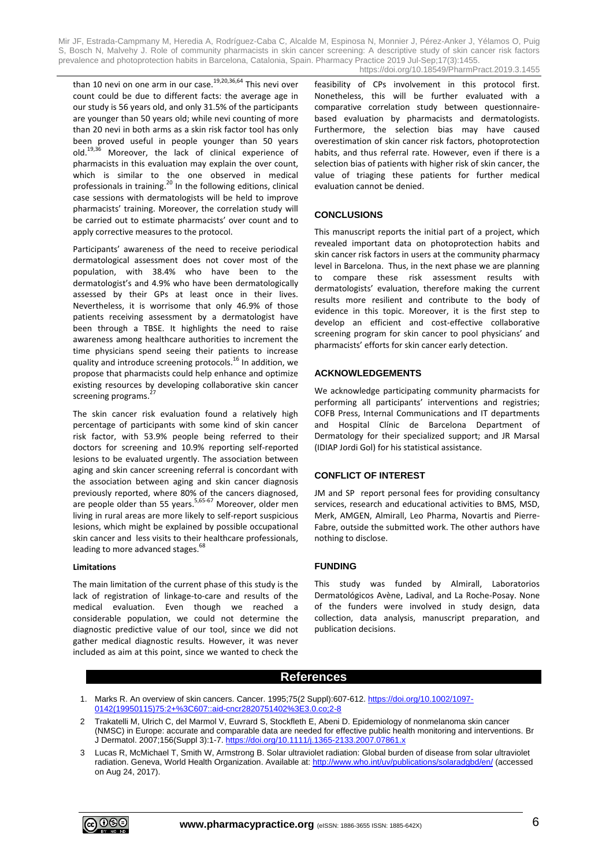than 10 nevi on one arm in our case.<sup>19,20,36,64</sup> This nevi over count could be due to different facts: the average age in our study is 56 years old, and only 31.5% of the participants are younger than 50 years old; while nevi counting of more than 20 nevi in both arms as a skin risk factor tool has only been proved useful in people younger than 50 years old.<sup>19,36</sup> Moreover, the lack of clinical experience of pharmacists in this evaluation may explain the over count, which is similar to the one observed in medical professionals in training.<sup>20</sup> In the following editions, clinical case sessions with dermatologists will be held to improve pharmacists' training. Moreover, the correlation study will be carried out to estimate pharmacists' over count and to apply corrective measures to the protocol.

Participants' awareness of the need to receive periodical dermatological assessment does not cover most of the population, with 38.4% who have been to the dermatologist's and 4.9% who have been dermatologically assessed by their GPs at least once in their lives. Nevertheless, it is worrisome that only 46.9% of those patients receiving assessment by a dermatologist have been through a TBSE. It highlights the need to raise awareness among healthcare authorities to increment the time physicians spend seeing their patients to increase quality and introduce screening protocols.<sup>16</sup> In addition, we propose that pharmacists could help enhance and optimize existing resources by developing collaborative skin cancer<br>cereoning programs <sup>27</sup> screening programs.

The skin cancer risk evaluation found a relatively high percentage of participants with some kind of skin cancer risk factor, with 53.9% people being referred to their doctors for screening and 10.9% reporting self-reported lesions to be evaluated urgently. The association between aging and skin cancer screening referral is concordant with the association between aging and skin cancer diagnosis previously reported, where 80% of the cancers diagnosed, are people older than 55 years.<sup>5,65-67</sup> Moreover, older men living in rural areas are more likely to self-report suspicious lesions, which might be explained by possible occupational skin cancer and less visits to their healthcare professionals, leading to more advanced stages.<sup>68</sup>

# **Limitations**

The main limitation of the current phase of this study is the lack of registration of linkage-to-care and results of the medical evaluation. Even though we reached a considerable population, we could not determine the diagnostic predictive value of our tool, since we did not gather medical diagnostic results. However, it was never included as aim at this point, since we wanted to check the feasibility of CPs involvement in this protocol first. Nonetheless, this will be further evaluated with a comparative correlation study between questionnairebased evaluation by pharmacists and dermatologists. Furthermore, the selection bias may have caused overestimation of skin cancer risk factors, photoprotection habits, and thus referral rate. However, even if there is a selection bias of patients with higher risk of skin cancer, the value of triaging these patients for further medical evaluation cannot be denied.

# **CONCLUSIONS**

This manuscript reports the initial part of a project, which revealed important data on photoprotection habits and skin cancer risk factors in users at the community pharmacy level in Barcelona. Thus, in the next phase we are planning to compare these risk assessment results with dermatologists' evaluation, therefore making the current results more resilient and contribute to the body of evidence in this topic. Moreover, it is the first step to develop an efficient and cost-effective collaborative screening program for skin cancer to pool physicians' and pharmacists' efforts for skin cancer early detection.

#### **ACKNOWLEDGEMENTS**

We acknowledge participating community pharmacists for performing all participants' interventions and registries; COFB Press, Internal Communications and IT departments and Hospital Clínic de Barcelona Department of Dermatology for their specialized support; and JR Marsal (IDIAP Jordi Gol) for his statistical assistance.

# **CONFLICT OF INTEREST**

JM and SP report personal fees for providing consultancy services, research and educational activities to BMS, MSD, Merk, AMGEN, Almirall, Leo Pharma, Novartis and Pierre-Fabre, outside the submitted work. The other authors have nothing to disclose.

# **FUNDING**

This study was funded by Almirall, Laboratorios Dermatológicos Avène, Ladival, and La Roche-Posay. None of the funders were involved in study design, data collection, data analysis, manuscript preparation, and publication decisions.

# **References**

- 1. Marks R. An overview of skin cancers. Cancer. 1995;75(2 Suppl):607-612[. https://doi.org/10.1002/1097-](https://doi.org/10.1002/1097-0142(19950115)75:2+%3C607::aid-cncr2820751402%3E3.0.co;2-8) 0142(19950115)75:2+%3C607:aid-cncr2820751402%
- 2 Trakatelli M, Ulrich C, del Marmol V, Euvrard S, Stockfleth E, Abeni D. Epidemiology of nonmelanoma skin cancer (NMSC) in Europe: accurate and comparable data are needed for effective public health monitoring and interventions. Br J Dermatol. 2007;156(Suppl 3):1-7[. https://doi.org/10.1111/j.1365-2133.2007.07861.x](https://doi.org/10.1111/j.1365-2133.2007.07861.x)
- 3 Lucas R, McMichael T, Smith W, Armstrong B. Solar ultraviolet radiation: Global burden of disease from solar ultraviolet radiation. Geneva, World Health Organization. Available at: <http://www.who.int/uv/publications/solaradgbd/en/> (accessed on Aug 24, 2017).

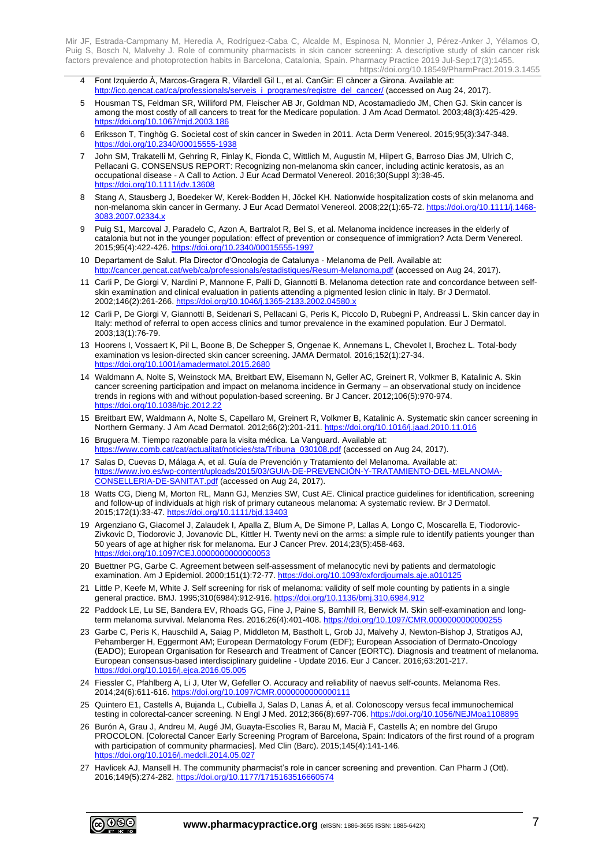- 4 Font Izquierdo À, Marcos-Gragera R, Vilardell Gil L, et al. CanGir: El càncer a Girona. Available at: [http://ico.gencat.cat/ca/professionals/serveis\\_i\\_programes/registre\\_del\\_cancer/](http://ico.gencat.cat/ca/professionals/serveis_i_programes/registre_del_cancer/) (accessed on Aug 24, 2017).
- 5 Housman TS, Feldman SR, Williford PM, Fleischer AB Jr, Goldman ND, Acostamadiedo JM, Chen GJ. Skin cancer is among the most costly of all cancers to treat for the Medicare population. J Am Acad Dermatol. 2003;48(3):425-429. <https://doi.org/10.1067/mjd.2003.186>
- 6 Eriksson T, Tinghög G. Societal cost of skin cancer in Sweden in 2011. Acta Derm Venereol. 2015;95(3):347-348. <https://doi.org/10.2340/00015555-1938>
- 7 John SM, Trakatelli M, Gehring R, Finlay K, Fionda C, Wittlich M, Augustin M, Hilpert G, Barroso Dias JM, Ulrich C, Pellacani G. CONSENSUS REPORT: Recognizing non-melanoma skin cancer, including actinic keratosis, as an occupational disease - A Call to Action. J Eur Acad Dermatol Venereol. 2016;30(Suppl 3):38-45. <https://doi.org/10.1111/jdv.13608>
- 8 Stang A, Stausberg J, Boedeker W, Kerek-Bodden H, Jöckel KH. Nationwide hospitalization costs of skin melanoma and non-melanoma skin cancer in Germany. J Eur Acad Dermatol Venereol. 2008;22(1):65-72[. https://doi.org/10.1111/j.1468-](https://doi.org/10.1111/j.1468-3083.2007.02334.x) [3083.2007.02334.x](https://doi.org/10.1111/j.1468-3083.2007.02334.x)
- 9 Puig S1, Marcoval J, Paradelo C, Azon A, Bartralot R, Bel S, et al. Melanoma incidence increases in the elderly of catalonia but not in the younger population: effect of prevention or consequence of immigration? Acta Derm Venereol. 2015;95(4):422-426.<https://doi.org/10.2340/00015555-1997>
- 10 Departament de Salut. Pla Director d'Oncologia de Catalunya Melanoma de Pell. Available at: <http://cancer.gencat.cat/web/ca/professionals/estadistiques/Resum-Melanoma.pdf> (accessed on Aug 24, 2017).
- 11 Carli P, De Giorgi V, Nardini P, Mannone F, Palli D, Giannotti B. Melanoma detection rate and concordance between selfskin examination and clinical evaluation in patients attending a pigmented lesion clinic in Italy. Br J Dermatol. 2002;146(2):261-266[. https://doi.org/10.1046/j.1365-2133.2002.04580.x](https://doi.org/10.1046/j.1365-2133.2002.04580.x)
- 12 Carli P, De Giorgi V, Giannotti B, Seidenari S, Pellacani G, Peris K, Piccolo D, Rubegni P, Andreassi L. Skin cancer day in Italy: method of referral to open access clinics and tumor prevalence in the examined population. Eur J Dermatol. 2003;13(1):76-79.
- 13 Hoorens I, Vossaert K, Pil L, Boone B, De Schepper S, Ongenae K, Annemans L, Chevolet I, Brochez L. Total-body examination vs lesion-directed skin cancer screening. JAMA Dermatol. 2016;152(1):27-34. <https://doi.org/10.1001/jamadermatol.2015.2680>
- 14 Waldmann A, Nolte S, Weinstock MA, Breitbart EW, Eisemann N, Geller AC, Greinert R, Volkmer B, Katalinic A. Skin cancer screening participation and impact on melanoma incidence in Germany – an observational study on incidence trends in regions with and without population-based screening. Br J Cancer. 2012;106(5):970-974. <https://doi.org/10.1038/bjc.2012.22>
- 15 Breitbart EW, Waldmann A, Nolte S, Capellaro M, Greinert R, Volkmer B, Katalinic A. Systematic skin cancer screening in Northern Germany. J Am Acad Dermatol. 2012;66(2):201-211[. https://doi.org/10.1016/j.jaad.2010.11.016](https://doi.org/10.1016/j.jaad.2010.11.016)
- 16 Bruguera M. Tiempo razonable para la visita médica. La Vanguard. Available at: [https://www.comb.cat/cat/actualitat/noticies/sta/Tribuna\\_030108.pdf](https://www.comb.cat/cat/actualitat/noticies/sta/Tribuna_030108.pdf) (accessed on Aug 24, 2017).
- 17 Salas D, Cuevas D, Málaga A, et al. Guía de Prevención y Tratamiento del Melanoma. Available at: [https://www.ivo.es/wp-content/uploads/2015/03/GUIA-DE-PREVENCIÓN-Y-TRATAMIENTO-DEL-MELANOMA-](https://www.ivo.es/wp-content/uploads/2015/03/GUIA-DE-PREVENCIÓN-Y-TRATAMIENTO-DEL-MELANOMA-CONSELLERIA-DE-SANITAT.pdf)[CONSELLERIA-DE-SANITAT.pdf](https://www.ivo.es/wp-content/uploads/2015/03/GUIA-DE-PREVENCIÓN-Y-TRATAMIENTO-DEL-MELANOMA-CONSELLERIA-DE-SANITAT.pdf) (accessed on Aug 24, 2017).
- 18 Watts CG, Dieng M, Morton RL, Mann GJ, Menzies SW, Cust AE. Clinical practice guidelines for identification, screening and follow-up of individuals at high risk of primary cutaneous melanoma: A systematic review. Br J Dermatol. 2015;172(1):33-47[. https://doi.org/10.1111/bjd.13403](https://doi.org/10.1111/bjd.13403)
- 19 Argenziano G, Giacomel J, Zalaudek I, Apalla Z, Blum A, De Simone P, Lallas A, Longo C, Moscarella E, Tiodorovic-Zivkovic D, Tiodorovic J, Jovanovic DL, Kittler H. Twenty nevi on the arms: a simple rule to identify patients younger than 50 years of age at higher risk for melanoma. Eur J Cancer Prev. 2014;23(5):458-463. <https://doi.org/10.1097/CEJ.0000000000000053>
- 20 Buettner PG, Garbe C. Agreement between self-assessment of melanocytic nevi by patients and dermatologic examination. Am J Epidemiol. 2000;151(1):72-77.<https://doi.org/10.1093/oxfordjournals.aje.a010125>
- 21 Little P, Keefe M, White J. Self screening for risk of melanoma: validity of self mole counting by patients in a single general practice. BMJ. 1995;310(6984):912-916[. https://doi.org/10.1136/bmj.310.6984.912](https://doi.org/10.1136/bmj.310.6984.912)
- 22 Paddock LE, Lu SE, Bandera EV, Rhoads GG, Fine J, Paine S, Barnhill R, Berwick M. Skin self-examination and longterm melanoma survival. Melanoma Res. 2016;26(4):401-408. https://doi.org/10.1097/CMR.0000000000000
- 23 Garbe C, Peris K, Hauschild A, Saiag P, Middleton M, Bastholt L, Grob JJ, Malvehy J, Newton-Bishop J, Stratigos AJ, Pehamberger H, Eggermont AM; European Dermatology Forum (EDF); European Association of Dermato-Oncology (EADO); European Organisation for Research and Treatment of Cancer (EORTC). Diagnosis and treatment of melanoma. European consensus-based interdisciplinary guideline - Update 2016. Eur J Cancer. 2016;63:201-217. <https://doi.org/10.1016/j.ejca.2016.05.005>
- 24 Fiessler C, Pfahlberg A, Li J, Uter W, Gefeller O. Accuracy and reliability of naevus self-counts. Melanoma Res. 2014;24(6):611-616.<https://doi.org/10.1097/CMR.0000000000000111>
- 25 Quintero E1, Castells A, Bujanda L, Cubiella J, Salas D, Lanas Á, et al. Colonoscopy versus fecal immunochemical testing in colorectal-cancer screening. N Engl J Med. 2012;366(8):697-706.<https://doi.org/10.1056/NEJMoa1108895>
- 26 Burón A, Grau J, Andreu M, Augé JM, Guayta-Escolies R, Barau M, Macià F, Castells A; en nombre del Grupo PROCOLON. [Colorectal Cancer Early Screening Program of Barcelona, Spain: Indicators of the first round of a program with participation of community pharmacies]. Med Clin (Barc). 2015;145(4):141-146. <https://doi.org/10.1016/j.medcli.2014.05.027>
- 27 Havlicek AJ, Mansell H. The community pharmacist's role in cancer screening and prevention. Can Pharm J (Ott). 2016;149(5):274-282[. https://doi.org/10.1177/1715163516660574](https://doi.org/10.1177/1715163516660574)

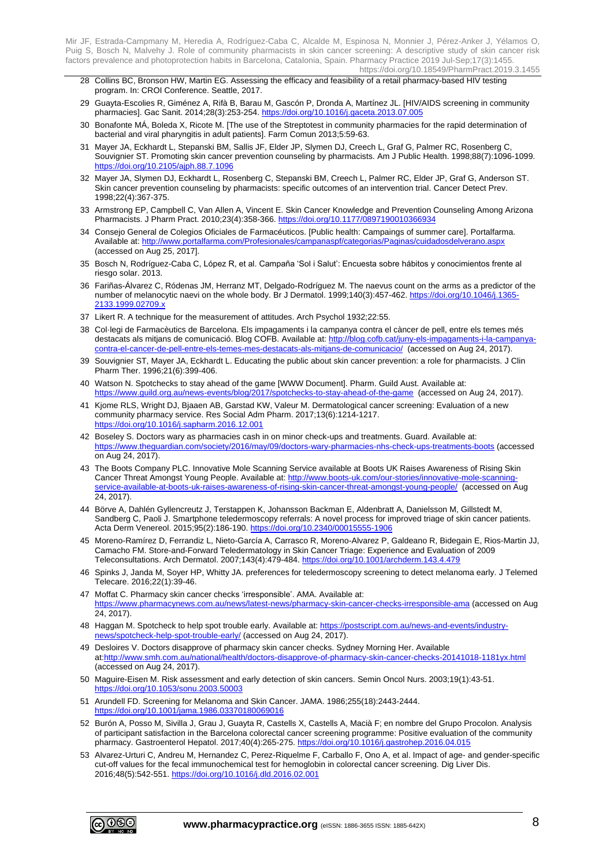- 28 Collins BC, Bronson HW, Martin EG. Assessing the efficacy and feasibility of a retail pharmacy-based HIV testing program. In: CROI Conference. Seattle, 2017.
- 29 Guayta-Escolies R, Giménez A, Rifà B, Barau M, Gascón P, Dronda A, Martínez JL. [HIV/AIDS screening in community pharmacies]. Gac Sanit. 2014;28(3):253-254[. https://doi.org/10.1016/j.gaceta.2013.07.005](https://doi.org/10.1016/j.gaceta.2013.07.005)
- 30 Bonafonte MÁ, Boleda X, Ricote M. [The use of the Streptotest in community pharmacies for the rapid determination of bacterial and viral pharyngitis in adult patients]. Farm Comun 2013;5:59-63.
- 31 Mayer JA, Eckhardt L, Stepanski BM, Sallis JF, Elder JP, Slymen DJ, Creech L, Graf G, Palmer RC, Rosenberg C, Souvignier ST. Promoting skin cancer prevention counseling by pharmacists. Am J Public Health. 1998;88(7):1096-1099. <https://doi.org/10.2105/ajph.88.7.1096>
- 32 Mayer JA, Slymen DJ, Eckhardt L, Rosenberg C, Stepanski BM, Creech L, Palmer RC, Elder JP, Graf G, Anderson ST. Skin cancer prevention counseling by pharmacists: specific outcomes of an intervention trial. Cancer Detect Prev. 1998;22(4):367-375.
- 33 Armstrong EP, Campbell C, Van Allen A, Vincent E. Skin Cancer Knowledge and Prevention Counseling Among Arizona Pharmacists. J Pharm Pract. 2010;23(4):358-366[. https://doi.org/10.1177/0897190010366934](https://doi.org/10.1177/0897190010366934)
- 34 Consejo General de Colegios Oficiales de Farmacéuticos. [Public health: Campaings of summer care]. Portalfarma. Available at: <http://www.portalfarma.com/Profesionales/campanaspf/categorias/Paginas/cuidadosdelverano.aspx> (accessed on Aug 25, 2017].
- 35 Bosch N, Rodríguez-Caba C, López R, et al. Campaña 'Sol i Salut': Encuesta sobre hábitos y conocimientos frente al riesgo solar. 2013.
- 36 Fariñas-Álvarez C, Ródenas JM, Herranz MT, Delgado-Rodríguez M. The naevus count on the arms as a predictor of the number of melanocytic naevi on the whole body. Br J Dermatol. 1999;140(3):457-462. [https://doi.org/10.1046/j.1365-](https://doi.org/10.1046/j.1365-2133.1999.02709.x) [2133.1999.02709.x](https://doi.org/10.1046/j.1365-2133.1999.02709.x)
- 37 Likert R. A technique for the measurement of attitudes. Arch Psychol 1932;22:55.
- 38 Col·legi de Farmacèutics de Barcelona. Els impagaments i la campanya contra el càncer de pell, entre els temes més destacats als mitjans de comunicació. Blog COFB. Available at[: http://blog.cofb.cat/juny-els-impagaments-i-la-campanya](http://blog.cofb.cat/juny-els-impagaments-i-la-campanya-contra-el-cancer-de-pell-entre-els-temes-mes-destacats-als-mitjans-de-comunicacio/)[contra-el-cancer-de-pell-entre-els-temes-mes-destacats-als-mitjans-de-comunicacio/](http://blog.cofb.cat/juny-els-impagaments-i-la-campanya-contra-el-cancer-de-pell-entre-els-temes-mes-destacats-als-mitjans-de-comunicacio/) (accessed on Aug 24, 2017).
- 39 Souvignier ST, Mayer JA, Eckhardt L. Educating the public about skin cancer prevention: a role for pharmacists. J Clin Pharm Ther. 1996;21(6):399-406.
- 40 Watson N. Spotchecks to stay ahead of the game [WWW Document]. Pharm. Guild Aust. Available at: 017/spotchecks-to-stay-ahead-of-the-game (accessed on Aug 24, 2017).
- 41 Kjome RLS, Wright DJ, Bjaaen AB, Garstad KW, Valeur M. Dermatological cancer screening: Evaluation of a new community pharmacy service. Res Social Adm Pharm. 2017;13(6):1214-1217. <https://doi.org/10.1016/j.sapharm.2016.12.001>
- 42 Boseley S. Doctors wary as pharmacies cash in on minor check-ups and treatments. Guard. Available at: <https://www.theguardian.com/society/2016/may/09/doctors-wary-pharmacies-nhs-check-ups-treatments-boots> (accessed on Aug 24, 2017).
- 43 The Boots Company PLC. Innovative Mole Scanning Service available at Boots UK Raises Awareness of Rising Skin Cancer Threat Amongst Young People. Available at: [http://www.boots-uk.com/our-stories/innovative-mole-scanning](http://www.boots-uk.com/our-stories/innovative-mole-scanning-service-available-at-boots-uk-raises-awareness-of-rising-skin-cancer-threat-amongst-young-people/)[service-available-at-boots-uk-raises-awareness-of-rising-skin-cancer-threat-amongst-young-people/](http://www.boots-uk.com/our-stories/innovative-mole-scanning-service-available-at-boots-uk-raises-awareness-of-rising-skin-cancer-threat-amongst-young-people/) (accessed on Aug 24, 2017).
- 44 Börve A, Dahlén Gyllencreutz J, Terstappen K, Johansson Backman E, Aldenbratt A, Danielsson M, Gillstedt M, Sandberg C, Paoli J. Smartphone teledermoscopy referrals: A novel process for improved triage of skin cancer patients. Acta Derm Venereol. 2015;95(2):186-190[. https://doi.org/10.2340/00015555-1906](https://doi.org/10.2340/00015555-1906)
- 45 Moreno-Ramírez D, Ferrandiz L, Nieto-García A, Carrasco R, Moreno-Alvarez P, Galdeano R, Bidegain E, Rios-Martin JJ, Camacho FM. Store-and-Forward Teledermatology in Skin Cancer Triage: Experience and Evaluation of 2009 Teleconsultations. Arch Dermatol. 2007;143(4):479-484[. https://doi.org/10.1001/archderm.143.4.479](https://doi.org/10.1001/archderm.143.4.479)
- 46 Spinks J, Janda M, Soyer HP, Whitty JA. preferences for teledermoscopy screening to detect melanoma early. J Telemed Telecare. 2016;22(1):39-46.
- 47 Moffat C. Pharmacy skin cancer checks 'irresponsible'. AMA. Available at: <https://www.pharmacynews.com.au/news/latest-news/pharmacy-skin-cancer-checks-irresponsible-ama> (accessed on Aug 24, 2017).
- 48 Haggan M. Spotcheck to help spot trouble early. Available at: [https://postscript.com.au/news-and-events/industry](https://postscript.com.au/news-and-events/industry-news/spotcheck-help-spot-trouble-early/)[news/spotcheck-help-spot-trouble-early/](https://postscript.com.au/news-and-events/industry-news/spotcheck-help-spot-trouble-early/) (accessed on Aug 24, 2017).
- 49 Desloires V. Doctors disapprove of pharmacy skin cancer checks. Sydney Morning Her. Available at[:http://www.smh.com.au/national/health/doctors-disapprove-of-pharmacy-skin-cancer-checks-20141018-1181yx.html](http://www.smh.com.au/national/health/doctors-disapprove-of-pharmacy-skin-cancer-checks-20141018-1181yx.html) (accessed on Aug 24, 2017).
- 50 Maguire-Eisen M. Risk assessment and early detection of skin cancers. Semin Oncol Nurs. 2003;19(1):43-51. <https://doi.org/10.1053/sonu.2003.50003>
- 51 Arundell FD. Screening for Melanoma and Skin Cancer. JAMA. 1986;255(18):2443-2444. <https://doi.org/10.1001/jama.1986.03370180069016>
- 52 Burón A, Posso M, Sivilla J, Grau J, Guayta R, Castells X, Castells A, Macià F; en nombre del Grupo Procolon. Analysis of participant satisfaction in the Barcelona colorectal cancer screening programme: Positive evaluation of the community pharmacy. Gastroenterol Hepatol. 2017;40(4):265-275.<https://doi.org/10.1016/j.gastrohep.2016.04.015>
- 53 Alvarez-Urturi C, Andreu M, Hernandez C, Perez-Riquelme F, Carballo F, Ono A, et al. Impact of age- and gender-specific cut-off values for the fecal immunochemical test for hemoglobin in colorectal cancer screening. Dig Liver Dis. 2016;48(5):542-551.<https://doi.org/10.1016/j.dld.2016.02.001>